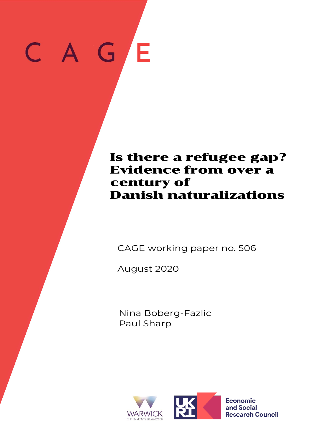# G  $\mathsf{C}^-$ **E**

# Is there a refugee gap? Evidence from over a century of Danish naturalizations

## CAGE working paper no. 506

August 2020

Nina Boberg-Fazlic Paul Sharp



**Economic** and Social **Research Council**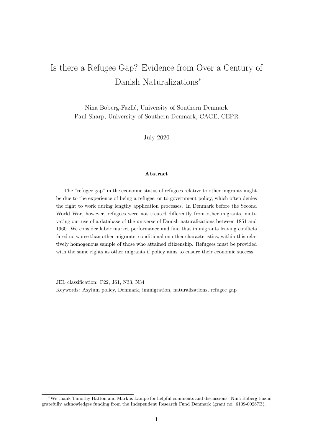# Is there a Refugee Gap? Evidence from Over a Century of Danish Naturalizations<sup>∗</sup>

Nina Boberg-Fazlić, University of Southern Denmark Paul Sharp, University of Southern Denmark, CAGE, CEPR

July 2020

#### Abstract

The "refugee gap" in the economic status of refugees relative to other migrants might be due to the experience of being a refugee, or to government policy, which often denies the right to work during lengthy application processes. In Denmark before the Second World War, however, refugees were not treated differently from other migrants, motivating our use of a database of the universe of Danish naturalizations between 1851 and 1960. We consider labor market performance and find that immigrants leaving conflicts fared no worse than other migrants, conditional on other characteristics, within this relatively homogenous sample of those who attained citizenship. Refugees must be provided with the same rights as other migrants if policy aims to ensure their economic success.

JEL classification: F22, J61, N33, N34 Keywords: Asylum policy, Denmark, immigration, naturalizations, refugee gap

<sup>∗</sup>We thank Timothy Hatton and Markus Lampe for helpful comments and discussions. Nina Boberg-Fazli´c gratefully acknowledges funding from the Independent Research Fund Denmark (grant no. 6109-00287B).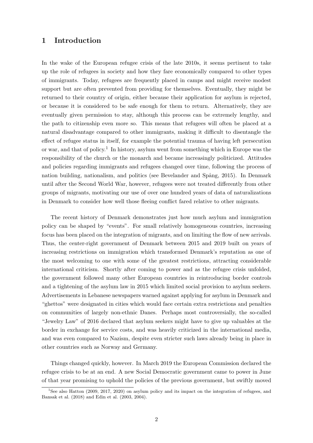## 1 Introduction

In the wake of the European refugee crisis of the late 2010s, it seems pertinent to take up the role of refugees in society and how they fare economically compared to other types of immigrants. Today, refugees are frequently placed in camps and might receive modest support but are often prevented from providing for themselves. Eventually, they might be returned to their country of origin, either because their application for asylum is rejected, or because it is considered to be safe enough for them to return. Alternatively, they are eventually given permission to stay, although this process can be extremely lengthy, and the path to citizenship even more so. This means that refugees will often be placed at a natural disadvantage compared to other immigrants, making it difficult to disentangle the effect of refugee status in itself, for example the potential trauma of having left persecution or war, and that of policy.<sup>1</sup> In history, asylum went from something which in Europe was the responsibility of the church or the monarch and became increasingly politicized. Attitudes and policies regarding immigrants and refugees changed over time, following the process of nation building, nationalism, and politics (see Bevelander and Spång, 2015). In Denmark until after the Second World War, however, refugees were not treated differently from other groups of migrants, motivating our use of over one hundred years of data of naturalizations in Denmark to consider how well those fleeing conflict fared relative to other migrants.

The recent history of Denmark demonstrates just how much asylum and immigration policy can be shaped by "events". For small relatively homogeneous countries, increasing focus has been placed on the integration of migrants, and on limiting the flow of new arrivals. Thus, the center-right government of Denmark between 2015 and 2019 built on years of increasing restrictions on immigration which transformed Denmark's reputation as one of the most welcoming to one with some of the greatest restrictions, attracting considerable international criticism. Shortly after coming to power and as the refugee crisis unfolded, the government followed many other European countries in reintroducing border controls and a tightening of the asylum law in 2015 which limited social provision to asylum seekers. Advertisements in Lebanese newspapers warned against applying for asylum in Denmark and "ghettos" were designated in cities which would face certain extra restrictions and penalties on communities of largely non-ethnic Danes. Perhaps most controversially, the so-called "Jewelry Law" of 2016 declared that asylum seekers might have to give up valuables at the border in exchange for service costs, and was heavily criticized in the international media, and was even compared to Nazism, despite even stricter such laws already being in place in other countries such as Norway and Germany.

Things changed quickly, however. In March 2019 the European Commission declared the refugee crisis to be at an end. A new Social Democratic government came to power in June of that year promising to uphold the policies of the previous government, but swiftly moved

<sup>&</sup>lt;sup>1</sup>See also Hatton (2009, 2017, 2020) on asylum policy and its impact on the integration of refugees, and Bansak et al. (2018) and Edin et al. (2003, 2004).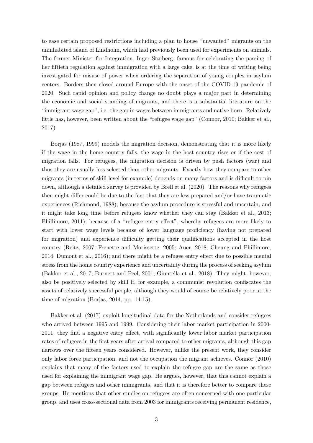to ease certain proposed restrictions including a plan to house "unwanted" migrants on the uninhabited island of Lindholm, which had previously been used for experiments on animals. The former Minister for Integration, Inger Støjberg, famous for celebrating the passing of her fiftieth regulation against immigration with a large cake, is at the time of writing being investigated for misuse of power when ordering the separation of young couples in asylum centers. Borders then closed around Europe with the onset of the COVID-19 pandemic of 2020. Such rapid opinion and policy change no doubt plays a major part in determining the economic and social standing of migrants, and there is a substantial literature on the "immigrant wage gap", i.e. the gap in wages between immigrants and native born. Relatively little has, however, been written about the "refugee wage gap" (Connor, 2010; Bakker et al., 2017).

Borjas (1987, 1999) models the migration decision, demonstrating that it is more likely if the wage in the home country falls, the wage in the host country rises or if the cost of migration falls. For refugees, the migration decision is driven by push factors (war) and thus they are usually less selected than other migrants. Exactly how they compare to other migrants (in terms of skill level for example) depends on many factors and is difficult to pin down, although a detailed survey is provided by Brell et al. (2020). The reasons why refugees then might differ could be due to the fact that they are less prepared and/or have traumatic experiences (Richmond, 1988); because the asylum procedure is stressful and uncertain, and it might take long time before refugees know whether they can stay (Bakker et al., 2013; Phillimore, 2011); because of a "refugee entry effect", whereby refugees are more likely to start with lower wage levels because of lower language proficiency (having not prepared for migration) and experience difficulty getting their qualifications accepted in the host country (Reitz, 2007; Frenette and Morissette, 2005; Auer, 2018; Cheung and Phillimore, 2014; Dumont et al., 2016); and there might be a refugee entry effect due to possible mental stress from the home country experience and uncertainty during the process of seeking asylum (Bakker et al., 2017; Burnett and Peel, 2001; Giuntella et al., 2018). They might, however, also be positively selected by skill if, for example, a communist revolution confiscates the assets of relatively successful people, although they would of course be relatively poor at the time of migration (Borjas, 2014, pp. 14-15).

Bakker et al. (2017) exploit longitudinal data for the Netherlands and consider refugees who arrived between 1995 and 1999. Considering their labor market participation in 2000- 2011, they find a negative entry effect, with significantly lower labor market participation rates of refugees in the first years after arrival compared to other migrants, although this gap narrows over the fifteen years considered. However, unlike the present work, they consider only labor force participation, and not the occupation the migrant achieves. Connor (2010) explains that many of the factors used to explain the refugee gap are the same as those used for explaining the immigrant wage gap. He argues, however, that this cannot explain a gap between refugees and other immigrants, and that it is therefore better to compare these groups. He mentions that other studies on refugees are often concerned with one particular group, and uses cross-sectional data from 2003 for immigrants receiving permanent residence,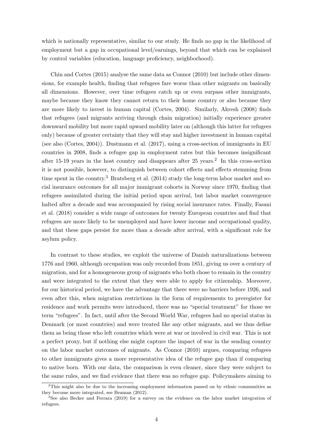which is nationally representative, similar to our study. He finds no gap in the likelihood of employment but a gap in occupational level/earnings, beyond that which can be explained by control variables (education, language proficiency, neighborhood).

Chin and Cortes (2015) analyse the same data as Connor (2010) but include other dimensions, for example health, finding that refugees fare worse than other migrants on basically all dimensions. However, over time refugees catch up or even surpass other immigrants, maybe because they know they cannot return to their home country or also because they are more likely to invest in human capital (Cortes, 2004). Similarly, Akresh (2008) finds that refugees (and migrants arriving through chain migration) initially experience greater downward mobility but more rapid upward mobility later on (although this latter for refugees only) because of greater certainty that they will stay and higher investment in human capital (see also (Cortes, 2004)). Dustmann et al. (2017), using a cross-section of immigrants in EU countries in 2008, finds a refugee gap in employment rates but this becomes insignificant after 15-19 years in the host country and disappears after 25 years.<sup>2</sup> In this cross-section it is not possible, however, to distinguish between cohort effects and effects stemming from time spent in the country.<sup>3</sup> Bratsberg et al.  $(2014)$  study the long-term labor market and social insurance outcomes for all major immigrant cohorts in Norway since 1970, finding that refugees assimilated during the initial period upon arrival, but labor market convergence halted after a decade and was accompanied by rising social insurance rates. Finally, Fasani et al. (2018) consider a wide range of outcomes for twenty European countries and find that refugees are more likely to be unemployed and have lower income and occupational quality, and that these gaps persist for more than a decade after arrival, with a significant role for asylum policy.

In contrast to these studies, we exploit the universe of Danish naturalizations between 1776 and 1960, although occupation was only recorded from 1851, giving us over a century of migration, and for a homogeneous group of migrants who both chose to remain in the country and were integrated to the extent that they were able to apply for citizenship. Moreover, for our historical period, we have the advantage that there were no barriers before 1926, and even after this, when migration restrictions in the form of requirements to preregister for residence and work permits were introduced, there was no "special treatment" for those we term "refugees". In fact, until after the Second World War, refugees had no special status in Denmark (or most countries) and were treated like any other migrants, and we thus define them as being those who left countries which were at war or involved in civil war. This is not a perfect proxy, but if nothing else might capture the impact of war in the sending country on the labor market outcomes of migrants. As Connor (2010) argues, comparing refugees to other immigrants gives a more representative idea of the refugee gap than if comparing to native born. With our data, the comparison is even cleaner, since they were subject to the same rules, and we find evidence that there was no refugee gap. Policymakers aiming to

<sup>&</sup>lt;sup>2</sup>This might also be due to the increasing employment information passed on by ethnic communities as they become more integrated, see Beaman (2012).

<sup>&</sup>lt;sup>3</sup>See also Becker and Ferrara (2019) for a survey on the evidence on the labor market integration of refugees.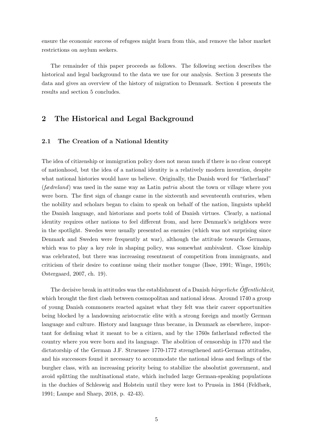ensure the economic success of refugees might learn from this, and remove the labor market restrictions on asylum seekers.

The remainder of this paper proceeds as follows. The following section describes the historical and legal background to the data we use for our analysis. Section 3 presents the data and gives an overview of the history of migration to Denmark. Section 4 presents the results and section 5 concludes.

## 2 The Historical and Legal Background

#### 2.1 The Creation of a National Identity

The idea of citizenship or immigration policy does not mean much if there is no clear concept of nationhood, but the idea of a national identity is a relatively modern invention, despite what national histories would have us believe. Originally, the Danish word for "fatherland"  $(fædreland)$  was used in the same way as Latin *patria* about the town or village where you were born. The first sign of change came in the sixteenth and seventeenth centuries, when the nobility and scholars began to claim to speak on behalf of the nation, linguists upheld the Danish language, and historians and poets told of Danish virtues. Clearly, a national identity requires other nations to feel different from, and here Denmark's neighbors were in the spotlight. Swedes were usually presented as enemies (which was not surprising since Denmark and Sweden were frequently at war), although the attitude towards Germans, which was to play a key role in shaping policy, was somewhat ambivalent. Close kinship was celebrated, but there was increasing resentment of competition from immigrants, and criticism of their desire to continue using their mother tongue (Ilsøe, 1991; Winge, 1991b; Østergaard, 2007, ch. 19).

The decisive break in attitudes was the establishment of a Danish bürgerliche Öffentlichkeit, which brought the first clash between cosmopolitan and national ideas. Around 1740 a group of young Danish commoners reacted against what they felt was their career opportunities being blocked by a landowning aristocratic elite with a strong foreign and mostly German language and culture. History and language thus became, in Denmark as elsewhere, important for defining what it meant to be a citizen, and by the 1760s fatherland reflected the country where you were born and its language. The abolition of censorship in 1770 and the dictatorship of the German J.F. Struensee 1770-1772 strengthened anti-German attitudes, and his successors found it necessary to accommodate the national ideas and feelings of the burgher class, with an increasing priority being to stabilize the absolutist government, and avoid splitting the multinational state, which included large German-speaking populations in the duchies of Schleswig and Holstein until they were lost to Prussia in 1864 (Feldbæk, 1991; Lampe and Sharp, 2018, p. 42-43).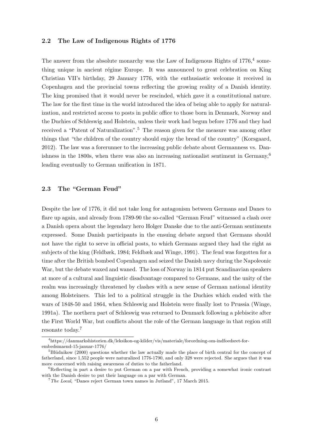#### 2.2 The Law of Indigenous Rights of 1776

The answer from the absolute monarchy was the Law of Indigenous Rights of  $1776<sup>4</sup>$  something unique in ancient régime Europe. It was announced to great celebration on King Christian VII's birthday, 29 January 1776, with the enthusiastic welcome it received in Copenhagen and the provincial towns reflecting the growing reality of a Danish identity. The king promised that it would never be rescinded, which gave it a constitutional nature. The law for the first time in the world introduced the idea of being able to apply for naturalization, and restricted access to posts in public office to those born in Denmark, Norway and the Duchies of Schleswig and Holstein, unless their work had begun before 1776 and they had received a "Patent of Naturalization".<sup>5</sup> The reason given for the measure was among other things that "the children of the country should enjoy the bread of the country" (Korsgaard, 2012). The law was a forerunner to the increasing public debate about Germanness vs. Danishness in the 1800s, when there was also an increasing nationalist sentiment in Germany,<sup>6</sup> leading eventually to German unification in 1871.

#### 2.3 The "German Feud"

Despite the law of 1776, it did not take long for antagonism between Germans and Danes to flare up again, and already from 1789-90 the so-called "German Feud" witnessed a clash over a Danish opera about the legendary hero Holger Danske due to the anti-German sentiments expressed. Some Danish participants in the ensuing debate argued that Germans should not have the right to serve in official posts, to which Germans argued they had the right as subjects of the king (Feldbæk, 1984; Feldbæk and Winge, 1991). The feud was forgotten for a time after the British bombed Copenhagen and seized the Danish navy during the Napoleonic War, but the debate waxed and waned. The loss of Norway in 1814 put Scandinavian speakers at more of a cultural and linguistic disadvantage compared to Germans, and the unity of the realm was increasingly threatened by clashes with a new sense of German national identity among Holsteiners. This led to a political struggle in the Duchies which ended with the wars of 1848-50 and 1864, when Schleswig and Holstein were finally lost to Prussia (Winge, 1991a). The northern part of Schleswig was returned to Denmark following a plebiscite after the First World War, but conflicts about the role of the German language in that region still resonate today.<sup>7</sup>

<sup>4</sup>https://danmarkshistorien.dk/leksikon-og-kilder/vis/materiale/forordning-om-indfoedsret-forembedsmaend-15-januar-1776/

 ${}^{5}$ Blüdnikow (2000) questions whether the law actually made the place of birth central for the concept of fatherland, since 1,552 people were naturalized 1776-1790, and only 328 were rejected. She argues that it was more concerned with raising awareness of duties to the fatherland.

<sup>&</sup>lt;sup>6</sup>Reflecting in part a desire to put German on a par with French, providing a somewhat ironic contrast with the Danish desire to put their language on a par with German.

<sup>7</sup>The Local, "Danes reject German town names in Jutland", 17 March 2015.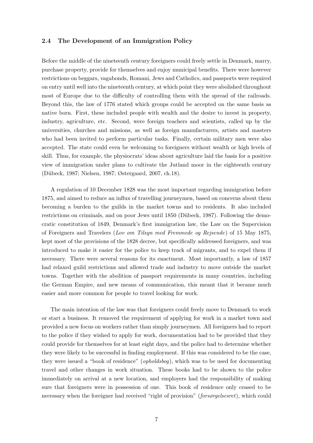#### 2.4 The Development of an Immigration Policy

Before the middle of the nineteenth century foreigners could freely settle in Denmark, marry, purchase property, provide for themselves and enjoy municipal benefits. There were however restrictions on beggars, vagabonds, Romani, Jews and Catholics, and passports were required on entry until well into the nineteenth century, at which point they were abolished throughout most of Europe due to the difficulty of controlling them with the spread of the railroads. Beyond this, the law of 1776 stated which groups could be accepted on the same basis as native born. First, these included people with wealth and the desire to invest in property, industry, agriculture, etc. Second, were foreign teachers and scientists, called up by the universities, churches and missions, as well as foreign manufacturers, artists and masters who had been invited to perform particular tasks. Finally, certain military men were also accepted. The state could even be welcoming to foreigners without wealth or high levels of skill. Thus, for example, the physiocrats' ideas about agriculture laid the basis for a positive view of immigration under plans to cultivate the Jutland moor in the eighteenth century (D¨ubeck, 1987; Nielsen, 1987; Østergaard, 2007, ch.18).

A regulation of 10 December 1828 was the most important regarding immigration before 1875, and aimed to reduce an influx of travelling journeymen, based on concerns about them becoming a burden to the guilds in the market towns and to residents. It also included restrictions on criminals, and on poor Jews until 1850 (Dübeck, 1987). Following the democratic constitution of 1849, Denmark's first immigration law, the Law on the Supervision of Foreigners and Travelers (Lov om Tilsyn med Fremmede og Rejsende) of 15 May 1875, kept most of the provisions of the 1828 decree, but specifically addressed foreigners, and was introduced to make it easier for the police to keep track of migrants, and to expel them if necessary. There were several reasons for its enactment. Most importantly, a law of 1857 had relaxed guild restrictions and allowed trade and industry to move outside the market towns. Together with the abolition of passport requirements in many countries, including the German Empire, and new means of communication, this meant that it became much easier and more common for people to travel looking for work.

The main intention of the law was that foreigners could freely move to Denmark to work or start a business. It removed the requirement of applying for work in a market town and provided a new focus on workers rather than simply journeymen. All foreigners had to report to the police if they wished to apply for work, documentation had to be provided that they could provide for themselves for at least eight days, and the police had to determine whether they were likely to be successful in finding employment. If this was considered to be the case, they were issued a "book of residence" (opholdsbog), which was to be used for documenting travel and other changes in work situation. These books had to be shown to the police immediately on arrival at a new location, and employers had the responsibility of making sure that foreigners were in possession of one. This book of residence only ceased to be necessary when the foreigner had received "right of provision" (forsørgelsesret), which could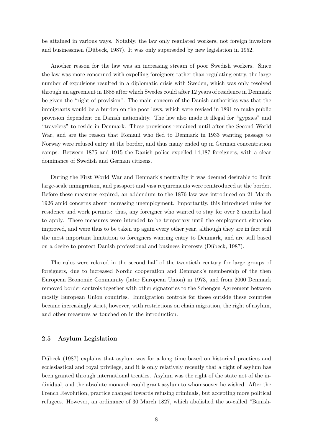be attained in various ways. Notably, the law only regulated workers, not foreign investors and businessmen (Dübeck, 1987). It was only superseded by new legislation in 1952.

Another reason for the law was an increasing stream of poor Swedish workers. Since the law was more concerned with expelling foreigners rather than regulating entry, the large number of expulsions resulted in a diplomatic crisis with Sweden, which was only resolved through an agreement in 1888 after which Swedes could after 12 years of residence in Denmark be given the "right of provision". The main concern of the Danish authorities was that the immigrants would be a burden on the poor laws, which were revised in 1891 to make public provision dependent on Danish nationality. The law also made it illegal for "gypsies" and "travelers" to reside in Denmark. These provisions remained until after the Second World War, and are the reason that Romani who fled to Denmark in 1933 wanting passage to Norway were refused entry at the border, and thus many ended up in German concentration camps. Between 1875 and 1915 the Danish police expelled 14,187 foreigners, with a clear dominance of Swedish and German citizens.

During the First World War and Denmark's neutrality it was deemed desirable to limit large-scale immigration, and passport and visa requirements were reintroduced at the border. Before these measures expired, an addendum to the 1876 law was introduced on 21 March 1926 amid concerns about increasing unemployment. Importantly, this introduced rules for residence and work permits: thus, any foreigner who wanted to stay for over 3 months had to apply. These measures were intended to be temporary until the employment situation improved, and were thus to be taken up again every other year, although they are in fact still the most important limitation to foreigners wanting entry to Denmark, and are still based on a desire to protect Danish professional and business interests (D¨ubeck, 1987).

The rules were relaxed in the second half of the twentieth century for large groups of foreigners, due to increased Nordic cooperation and Denmark's membership of the then European Economic Community (later European Union) in 1973, and from 2000 Denmark removed border controls together with other signatories to the Schengen Agreement between mostly European Union countries. Immigration controls for those outside these countries became increasingly strict, however, with restrictions on chain migration, the right of asylum, and other measures as touched on in the introduction.

#### 2.5 Asylum Legislation

Dübeck (1987) explains that asylum was for a long time based on historical practices and ecclesiastical and royal privilege, and it is only relatively recently that a right of asylum has been granted through international treaties. Asylum was the right of the state not of the individual, and the absolute monarch could grant asylum to whomsoever he wished. After the French Revolution, practice changed towards refusing criminals, but accepting more political refugees. However, an ordinance of 30 March 1827, which abolished the so-called "Banish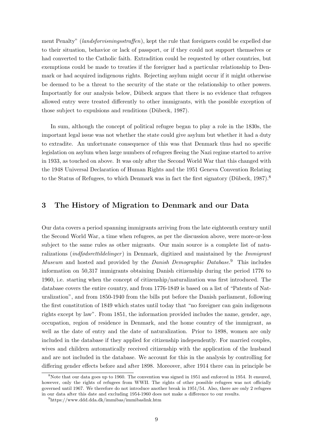ment Penalty" (*landsforvisningsstraffen*), kept the rule that foreigners could be expelled due to their situation, behavior or lack of passport, or if they could not support themselves or had converted to the Catholic faith. Extradition could be requested by other countries, but exemptions could be made to treaties if the foreigner had a particular relationship to Denmark or had acquired indigenous rights. Rejecting asylum might occur if it might otherwise be deemed to be a threat to the security of the state or the relationship to other powers. Importantly for our analysis below, Dübeck argues that there is no evidence that refugees allowed entry were treated differently to other immigrants, with the possible exception of those subject to expulsions and renditions (Dübeck, 1987).

In sum, although the concept of political refugee began to play a role in the 1830s, the important legal issue was not whether the state could give asylum but whether it had a duty to extradite. An unfortunate consequence of this was that Denmark thus had no specific legislation on asylum when large numbers of refugees fleeing the Nazi regime started to arrive in 1933, as touched on above. It was only after the Second World War that this changed with the 1948 Universal Declaration of Human Rights and the 1951 Geneva Convention Relating to the Status of Refugees, to which Denmark was in fact the first signatory (Dübeck,  $1987$ ).<sup>8</sup>

## 3 The History of Migration to Denmark and our Data

Our data covers a period spanning immigrants arriving from the late eighteenth century until the Second World War, a time when refugees, as per the discussion above, were more-or-less subject to the same rules as other migrants. Our main source is a complete list of naturalizations *(indfødsrettildelinger)* in Denmark, digitized and maintained by the *Immigrant* Museum and hosted and provided by the Danish Demographic Database.<sup>9</sup> This includes information on 50,317 immigrants obtaining Danish citizenship during the period 1776 to 1960, i.e. starting when the concept of citizenship/naturalization was first introduced. The database covers the entire country, and from 1776-1849 is based on a list of "Patents of Naturalization", and from 1850-1940 from the bills put before the Danish parliament, following the first constitution of 1849 which states until today that "no foreigner can gain indigenous rights except by law". From 1851, the information provided includes the name, gender, age, occupation, region of residence in Denmark, and the home country of the immigrant, as well as the date of entry and the date of naturalization. Prior to 1898, women are only included in the database if they applied for citizenship independently. For married couples, wives and children automatically received citizenship with the application of the husband and are not included in the database. We account for this in the analysis by controlling for differing gender effects before and after 1898. Moreover, after 1914 there can in principle be

<sup>8</sup>Note that our data goes up to 1960. The convention was signed in 1951 and enforced in 1954. It ensured, however, only the rights of refugees from WWII. The rights of other possible refugees was not officially governed until 1967. We therefore do not introduce another break in 1951/54. Also, there are only 2 refugees in our data after this date and excluding 1954-1960 does not make a difference to our results.

<sup>9</sup>https://www.ddd.dda.dk/immibas/immibaslink.htm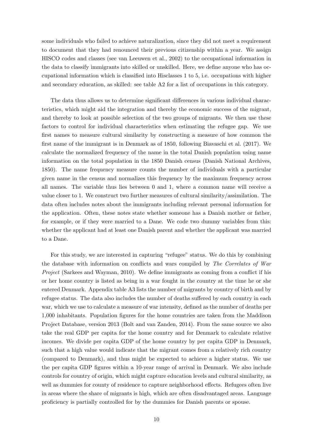some individuals who failed to achieve naturalization, since they did not meet a requirement to document that they had renounced their previous citizenship within a year. We assign HISCO codes and classes (see van Leeuwen et al., 2002) to the occupational information in the data to classify immigrants into skilled or unskilled. Here, we define anyone who has occupational information which is classified into Hisclasses 1 to 5, i.e. occupations with higher and secondary education, as skilled: see table A2 for a list of occupations in this category.

The data thus allows us to determine significant differences in various individual characteristics, which might aid the integration and thereby the economic success of the migrant, and thereby to look at possible selection of the two groups of migrants. We then use these factors to control for individual characteristics when estimating the refugee gap. We use first names to measure cultural similarity by constructing a measure of how common the first name of the immigrant is in Denmark as of 1850, following Biavaschi et al. (2017). We calculate the normalized frequency of the name in the total Danish population using name information on the total population in the 1850 Danish census (Danish National Archives, 1850). The name frequency measure counts the number of individuals with a particular given name in the census and normalizes this frequency by the maximum frequency across all names. The variable thus lies between 0 and 1, where a common name will receive a value closer to 1. We construct two further measures of cultural similarity/assimilation. The data often includes notes about the immigrants including relevant personal information for the application. Often, these notes state whether someone has a Danish mother or father, for example, or if they were married to a Dane. We code two dummy variables from this: whether the applicant had at least one Danish parent and whether the applicant was married to a Dane.

For this study, we are interested in capturing "refugee" status. We do this by combining the database with information on conflicts and wars compiled by The Correlates of War Project (Sarkees and Wayman, 2010). We define immigrants as coming from a conflict if his or her home country is listed as being in a war fought in the country at the time he or she entered Denmark. Appendix table A3 lists the number of migrants by country of birth and by refugee status. The data also includes the number of deaths suffered by each country in each war, which we use to calculate a measure of war intensity, defined as the number of deaths per 1,000 inhabitants. Population figures for the home countries are taken from the Maddison Project Database, version 2013 (Bolt and van Zanden, 2014). From the same source we also take the real GDP per capita for the home country and for Denmark to calculate relative incomes. We divide per capita GDP of the home country by per capita GDP in Denmark, such that a high value would indicate that the migrant comes from a relatively rich country (compared to Denmark), and thus might be expected to achieve a higher status. We use the per capita GDP figures within a 10-year range of arrival in Denmark. We also include controls for country of origin, which might capture education levels and cultural similarity, as well as dummies for county of residence to capture neighborhood effects. Refugees often live in areas where the share of migrants is high, which are often disadvantaged areas. Language proficiency is partially controlled for by the dummies for Danish parents or spouse.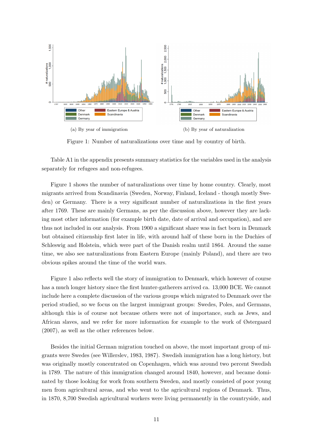

Figure 1: Number of naturalizations over time and by country of birth.

Table A1 in the appendix presents summary statistics for the variables used in the analysis separately for refugees and non-refugees.

Figure 1 shows the number of naturalizations over time by home country. Clearly, most migrants arrived from Scandinavia (Sweden, Norway, Finland, Iceland - though mostly Sweden) or Germany. There is a very significant number of naturalizations in the first years after 1769. These are mainly Germans, as per the discussion above, however they are lacking most other information (for example birth date, date of arrival and occupation), and are thus not included in our analysis. From 1900 a significant share was in fact born in Denmark but obtained citizenship first later in life, with around half of these born in the Duchies of Schleswig and Holstein, which were part of the Danish realm until 1864. Around the same time, we also see naturalizations from Eastern Europe (mainly Poland), and there are two obvious spikes around the time of the world wars.

Figure 1 also reflects well the story of immigration to Denmark, which however of course has a much longer history since the first hunter-gatherers arrived ca. 13,000 BCE. We cannot include here a complete discussion of the various groups which migrated to Denmark over the period studied, so we focus on the largest immigrant groups: Swedes, Poles, and Germans, although this is of course not because others were not of importance, such as Jews, and African slaves, and we refer for more information for example to the work of Østergaard (2007), as well as the other references below.

Besides the initial German migration touched on above, the most important group of migrants were Swedes (see Willerslev, 1983, 1987). Swedish immigration has a long history, but was originally mostly concentrated on Copenhagen, which was around two percent Swedish in 1789. The nature of this immigration changed around 1840, however, and became dominated by those looking for work from southern Sweden, and mostly consisted of poor young men from agricultural areas, and who went to the agricultural regions of Denmark. Thus, in 1870, 8,700 Swedish agricultural workers were living permanently in the countryside, and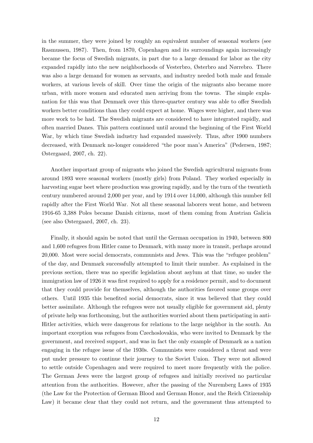in the summer, they were joined by roughly an equivalent number of seasonal workers (see Rasmussen, 1987). Then, from 1870, Copenhagen and its surroundings again increasingly became the focus of Swedish migrants, in part due to a large demand for labor as the city expanded rapidly into the new neighborhoods of Vesterbro, Østerbro and Nørrebro. There was also a large demand for women as servants, and industry needed both male and female workers, at various levels of skill. Over time the origin of the migrants also became more urban, with more women and educated men arriving from the towns. The simple explanation for this was that Denmark over this three-quarter century was able to offer Swedish workers better conditions than they could expect at home. Wages were higher, and there was more work to be had. The Swedish migrants are considered to have integrated rapidly, and often married Danes. This pattern continued until around the beginning of the First World War, by which time Swedish industry had expanded massively. Thus, after 1900 numbers decreased, with Denmark no-longer considered "the poor man's America" (Pedersen, 1987; Østergaard, 2007, ch. 22).

Another important group of migrants who joined the Swedish agricultural migrants from around 1893 were seasonal workers (mostly girls) from Poland. They worked especially in harvesting sugar beet where production was growing rapidly, and by the turn of the twentieth century numbered around 2,000 per year, and by 1914 over 14,000, although this number fell rapidly after the First World War. Not all these seasonal laborers went home, and between 1916-65 3,388 Poles became Danish citizens, most of them coming from Austrian Galicia (see also Østergaard, 2007, ch. 23).

Finally, it should again be noted that until the German occupation in 1940, between 800 and 1,600 refugees from Hitler came to Denmark, with many more in transit, perhaps around 20,000. Most were social democrats, communists and Jews. This was the "refugee problem" of the day, and Denmark successfully attempted to limit their number. As explained in the previous section, there was no specific legislation about asylum at that time, so under the immigration law of 1926 it was first required to apply for a residence permit, and to document that they could provide for themselves, although the authorities favored some groups over others. Until 1935 this benefited social democrats, since it was believed that they could better assimilate. Although the refugees were not usually eligible for government aid, plenty of private help was forthcoming, but the authorities worried about them participating in anti-Hitler activities, which were dangerous for relations to the large neighbor in the south. An important exception was refugees from Czechoslovakia, who were invited to Denmark by the government, and received support, and was in fact the only example of Denmark as a nation engaging in the refugee issue of the 1930s. Communists were considered a threat and were put under pressure to continue their journey to the Soviet Union. They were not allowed to settle outside Copenhagen and were required to meet more frequently with the police. The German Jews were the largest group of refugees and initially received no particular attention from the authorities. However, after the passing of the Nuremberg Laws of 1935 (the Law for the Protection of German Blood and German Honor, and the Reich Citizenship Law) it became clear that they could not return, and the government thus attempted to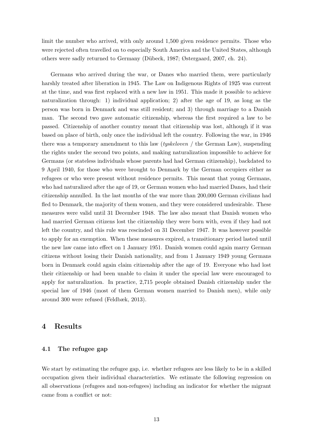limit the number who arrived, with only around 1,500 given residence permits. Those who were rejected often travelled on to especially South America and the United States, although others were sadly returned to Germany (D¨ubeck, 1987; Østergaard, 2007, ch. 24).

Germans who arrived during the war, or Danes who married them, were particularly harshly treated after liberation in 1945. The Law on Indigenous Rights of 1925 was current at the time, and was first replaced with a new law in 1951. This made it possible to achieve naturalization through: 1) individual application; 2) after the age of 19, as long as the person was born in Denmark and was still resident; and 3) through marriage to a Danish man. The second two gave automatic citizenship, whereas the first required a law to be passed. Citizenship of another country meant that citizenship was lost, although if it was based on place of birth, only once the individual left the country. Following the war, in 1946 there was a temporary amendment to this law (*tyskeloven* / the German Law), suspending the rights under the second two points, and making naturalization impossible to achieve for Germans (or stateless individuals whose parents had had German citizenship), backdated to 9 April 1940, for those who were brought to Denmark by the German occupiers either as refugees or who were present without residence permits. This meant that young Germans, who had naturalized after the age of 19, or German women who had married Danes, had their citizenship annulled. In the last months of the war more than 200,000 German civilians had fled to Denmark, the majority of them women, and they were considered undesirable. These measures were valid until 31 December 1948. The law also meant that Danish women who had married German citizens lost the citizenship they were born with, even if they had not left the country, and this rule was rescinded on 31 December 1947. It was however possible to apply for an exemption. When these measures expired, a transitionary period lasted until the new law came into effect on 1 January 1951. Danish women could again marry German citizens without losing their Danish nationality, and from 1 January 1949 young Germans born in Denmark could again claim citizenship after the age of 19. Everyone who had lost their citizenship or had been unable to claim it under the special law were encouraged to apply for naturalization. In practice, 2,715 people obtained Danish citizenship under the special law of 1946 (most of them German women married to Danish men), while only around 300 were refused (Feldbæk, 2013).

### 4 Results

#### 4.1 The refugee gap

We start by estimating the refugee gap, i.e. whether refugees are less likely to be in a skilled occupation given their individual characteristics. We estimate the following regression on all observations (refugees and non-refugees) including an indicator for whether the migrant came from a conflict or not: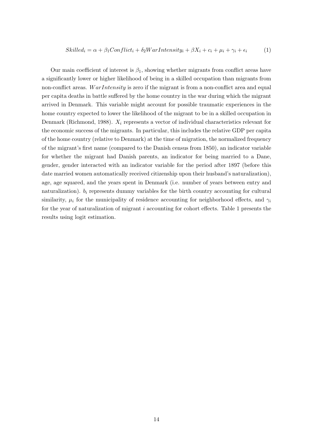$$
Skilled_i = \alpha + \beta_1 Conflict_i + \delta_2WarIntensity_i + \beta X_i + c_i + \mu_i + \gamma_i + \epsilon_i \tag{1}
$$

Our main coefficient of interest is  $\beta_1$ , showing whether migrants from conflict areas have a significantly lower or higher likelihood of being in a skilled occupation than migrants from non-conflict areas. WarIntensity is zero if the migrant is from a non-conflict area and equal per capita deaths in battle suffered by the home country in the war during which the migrant arrived in Denmark. This variable might account for possible traumatic experiences in the home country expected to lower the likelihood of the migrant to be in a skilled occupation in Denmark (Richmond, 1988).  $X_i$  represents a vector of individual characteristics relevant for the economic success of the migrants. In particular, this includes the relative GDP per capita of the home country (relative to Denmark) at the time of migration, the normalized frequency of the migrant's first name (compared to the Danish census from 1850), an indicator variable for whether the migrant had Danish parents, an indicator for being married to a Dane, gender, gender interacted with an indicator variable for the period after 1897 (before this date married women automatically received citizenship upon their husband's naturalization), age, age squared, and the years spent in Denmark (i.e. number of years between entry and naturalization).  $b_i$  represents dummy variables for the birth country accounting for cultural similarity,  $\mu_i$  for the municipality of residence accounting for neighborhood effects, and  $\gamma_i$ for the year of naturalization of migrant i accounting for cohort effects. Table 1 presents the results using logit estimation.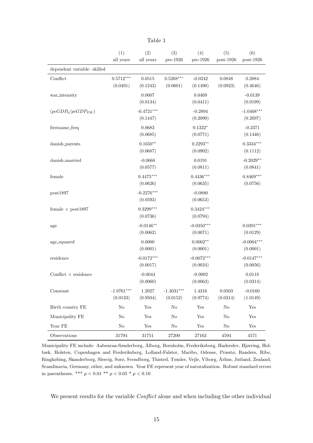|                             | (1)<br>all years         | (2)<br>all years         | (3)<br>pre-1926          | (4)<br>pre-1926          | (5)<br>$post-1926$ | (6)<br>$post-1926$       |
|-----------------------------|--------------------------|--------------------------|--------------------------|--------------------------|--------------------|--------------------------|
| dependent variable: skilled |                          |                          |                          |                          |                    |                          |
| Conflict                    | $0.5712***$<br>(0.0491)  | 0.0515<br>(0.1243)       | $0.5268***$<br>(0.0601)  | $-0.0242$<br>(0.1490)    | 0.0848<br>(0.0923) | 0.2084<br>(0.4646)       |
| war_intensity               |                          | 0.0007<br>(0.0134)       |                          | 0.0469<br>(0.0411)       |                    | $-0.0139$<br>(0.0199)    |
| $(pcGDP_b/pcGDP_{DK})$      |                          | $-0.4721***$<br>(0.1447) |                          | $-0.2894$<br>(0.2090)    |                    | $-1.0468***$<br>(0.2697) |
| firstname_freq              |                          | 0.0683<br>(0.0685)       |                          | $0.1322*$<br>(0.0771)    |                    | $-0.2371$<br>(0.1446)    |
| danish_parents              |                          | $0.1650**$<br>(0.0687)   |                          | $0.2293**$<br>(0.0902)   |                    | $0.3334***$<br>(0.1112)  |
| danish_married              |                          | $-0.0668$<br>(0.0577)    |                          | 0.0191<br>(0.0811)       |                    | $-0.2029**$<br>(0.0841)  |
| female                      |                          | $0.4475***$<br>(0.0626)  |                          | $0.4436***$<br>(0.0635)  |                    | $0.8469***$<br>(0.0756)  |
| post1897                    |                          | $-0.2276***$<br>(0.0593) |                          | $-0.0880$<br>(0.0653)    |                    |                          |
| female $\times$ post1897    |                          | $0.3299***$<br>(0.0736)  |                          | $0.3424***$<br>(0.0794)  |                    |                          |
| age                         |                          | $-0.0146**$<br>(0.0062)  |                          | $-0.0350***$<br>(0.0071) |                    | $0.0391***$<br>(0.0129)  |
| age_squared                 |                          | 0.0000<br>(0.0001)       |                          | $0.0002**$<br>(0.0001)   |                    | $-0.0004***$<br>(0.0001) |
| residence                   |                          | $-0.0172***$<br>(0.0017) |                          | $-0.0072***$<br>(0.0024) |                    | $-0.0147***$<br>(0.0056) |
| Conflict $\times$ residence |                          | $-0.0044$<br>(0.0060)    |                          | $-0.0002$<br>(0.0063)    |                    | 0.0118<br>(0.0314)       |
| Constant                    | $-1.0761***$<br>(0.0133) | 1.2027<br>(0.9504)       | $-1.3031***$<br>(0.0152) | 1.4316<br>(0.9774)       | 0.0503<br>(0.0314) | $-0.0160$<br>(1.0149)    |
| Birth country FE            | $\rm No$                 | Yes                      | No                       | Yes                      | $\rm No$           | Yes                      |
| Municipality FE             | $\rm No$                 | Yes                      | No                       | Yes                      | $\rm No$           | Yes                      |
| Year FE                     | $\rm No$                 | $\operatorname{Yes}$     | No                       | ${\rm Yes}$              | $\rm No$           | Yes                      |
| Observations                | 31794                    | $31751\,$                | $27200\,$                | $27163\,$                | 4594               | 4571                     |

Table 1

Municipality FE include: Aabenraa-Sønderborg, Ålborg, Bornholm, Frederiksborg, Haderslev, Hjørring, Holbæk, Holsten, Copenhagen and Frederiksberg, Lolland-Falster, Maribo, Odense, Præstø, Randers, Ribe, Ringkøbing, Skanderborg, Slesvig, Sorø, Svendborg, Thisted, Tønder, Vejle, Viborg, Århus, Jutland, Zealand, Scandinavia, Germany, other, and unknown. Year FE represent year of naturalization. Robust standard errors in parentheses. \*\*\*  $p < 0.01$  \*\*  $p < 0.05$  \*  $p < 0.10$ 

We present results for the variable *Conflict* alone and when including the other individual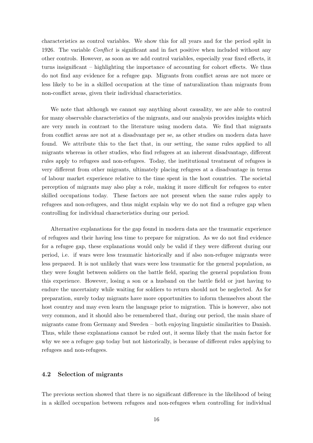characteristics as control variables. We show this for all years and for the period split in 1926. The variable Conflict is significant and in fact positive when included without any other controls. However, as soon as we add control variables, especially year fixed effects, it turns insignificant – highlighting the importance of accounting for cohort effects. We thus do not find any evidence for a refugee gap. Migrants from conflict areas are not more or less likely to be in a skilled occupation at the time of naturalization than migrants from non-conflict areas, given their individual characteristics.

We note that although we cannot say anything about causality, we are able to control for many observable characteristics of the migrants, and our analysis provides insights which are very much in contrast to the literature using modern data. We find that migrants from conflict areas are not at a disadvantage per se, as other studies on modern data have found. We attribute this to the fact that, in our setting, the same rules applied to all migrants whereas in other studies, who find refugees at an inherent disadvantage, different rules apply to refugees and non-refugees. Today, the institutional treatment of refugees is very different from other migrants, ultimately placing refugees at a disadvantage in terms of labour market experience relative to the time spent in the host countries. The societal perception of migrants may also play a role, making it more difficult for refugees to enter skilled occupations today. These factors are not present when the same rules apply to refugees and non-refugees, and thus might explain why we do not find a refugee gap when controlling for individual characteristics during our period.

Alternative explanations for the gap found in modern data are the traumatic experience of refugees and their having less time to prepare for migration. As we do not find evidence for a refugee gap, these explanations would only be valid if they were different during our period, i.e. if wars were less traumatic historically and if also non-refugee migrants were less prepared. It is not unlikely that wars were less traumatic for the general population, as they were fought between soldiers on the battle field, sparing the general population from this experience. However, losing a son or a husband on the battle field or just having to endure the uncertainty while waiting for soldiers to return should not be neglected. As for preparation, surely today migrants have more opportunities to inform themselves about the host country and may even learn the language prior to migration. This is however, also not very common, and it should also be remembered that, during our period, the main share of migrants came from Germany and Sweden – both enjoying linguistic similarities to Danish. Thus, while these explanations cannot be ruled out, it seems likely that the main factor for why we see a refugee gap today but not historically, is because of different rules applying to refugees and non-refugees.

#### 4.2 Selection of migrants

The previous section showed that there is no significant difference in the likelihood of being in a skilled occupation between refugees and non-refugees when controlling for individual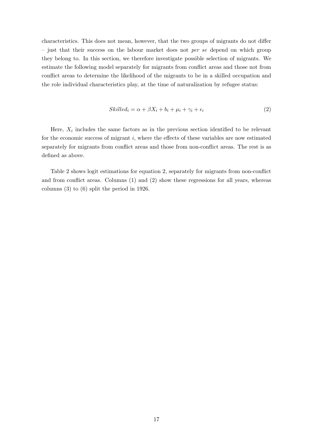characteristics. This does not mean, however, that the two groups of migrants do not differ  $-$  just that their success on the labour market does not *per se* depend on which group they belong to. In this section, we therefore investigate possible selection of migrants. We estimate the following model separately for migrants from conflict areas and those not from conflict areas to determine the likelihood of the migrants to be in a skilled occupation and the role individual characteristics play, at the time of naturalization by refugee status:

$$
Skilled_i = \alpha + \beta X_i + b_i + \mu_i + \gamma_i + \epsilon_i \tag{2}
$$

Here,  $X_i$  includes the same factors as in the previous section identified to be relevant for the economic success of migrant  $i$ , where the effects of these variables are now estimated separately for migrants from conflict areas and those from non-conflict areas. The rest is as defined as above.

Table 2 shows logit estimations for equation 2, separately for migrants from non-conflict and from conflict areas. Columns (1) and (2) show these regressions for all years, whereas columns (3) to (6) split the period in 1926.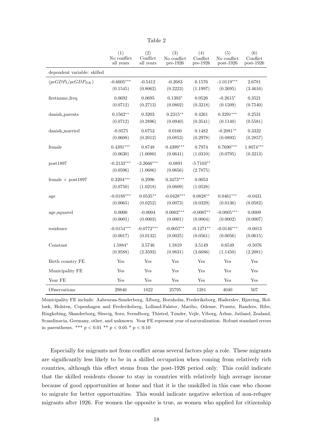|                             | (1)                      | (2)                      | (3)                     | (4)                     | (5)          | (6)          |
|-----------------------------|--------------------------|--------------------------|-------------------------|-------------------------|--------------|--------------|
|                             | $\rm No$ conflict        | Conflict                 | $\rm No$ conflict       | Conflict                | No conflict  | Conflict     |
|                             | all years                | all years                | pre-1926                | pre-1926                | $post-1926$  | $post-1926$  |
| dependent variable: skilled |                          |                          |                         |                         |              |              |
| $(pcGDP_b/pcGDP_{DK})$      | $-0.6605***$             | $-0.5412$                | $-0.2683$               | 0.1576                  | $-1.0119***$ | 2.6781       |
|                             | (0.1545)                 | (0.8062)                 | (0.2223)                | (1.1997)                | (0.2695)     | (3.4616)     |
| firstname_freq              | 0.0692                   | 0.0695                   | $0.1393*$               | 0.0526                  | $-0.2615*$   | 0.3521       |
|                             | (0.0712)                 | (0.2713)                 | (0.0802)                | (0.3218)                | (0.1509)     | (0.7540)     |
| danish_parents              | $0.1562**$               | 0.3203                   | $0.2315**$              | 0.4261                  | $0.3291***$  | 0.2531       |
|                             | (0.0712)                 | (0.2896)                 | (0.0940)                | (0.3541)                | (0.1140)     | (0.5581)     |
| danish_married              | $-0.0575$                | 0.0753                   | 0.0160                  | 0.1482                  | $-0.2081**$  | 0.3332       |
|                             | (0.0608)                 | (0.2012)                 | (0.0853)                | (0.2978)                | (0.0893)     | (0.2857)     |
| female                      | $0.4391***$              | 0.8748                   | $0.4399***$             | 0.7974                  | $0.7690***$  | $1.8074***$  |
|                             | (0.0630)                 | (1.0080)                 | (0.0641)                | (1.0310)                | (0.0795)     | (0.3213)     |
| post1897                    | $-0.2133***$<br>(0.0596) | $-3.2666***$<br>(1.0686) | $-0.0891$<br>(0.0656)   | $-5.7103**$<br>(2.7875) |              |              |
| female $\times$ post1897    | $0.3204***$<br>(0.0750)  | 0.2996<br>(1.0218)       | $0.3473***$<br>(0.0809) | 0.0053<br>(1.0528)      |              |              |
| age                         | $-0.0188***$             | $0.0535**$               | $-0.0428***$            | $0.0828**$              | $0.0461***$  | $-0.0431$    |
|                             | (0.0065)                 | (0.0252)                 | (0.0073)                | (0.0329)                | (0.0136)     | (0.0582)     |
| age_squared                 | 0.0000                   | $-0.0004$                | $0.0002***$             | $-0.0007**$             | $-0.0005***$ | 0.0009       |
|                             | (0.0001)                 | (0.0003)                 | (0.0001)                | (0.0004)                | (0.0002)     | (0.0007)     |
| residence                   | $-0.0154***$             | $-0.0772***$             | $-0.0057**$             | $-0.1271**$             | $-0.0146***$ | $-0.0013$    |
|                             | (0.0017)                 | (0.0132)                 | (0.0025)                | (0.0561)                | (0.0056)     | (0.0615)     |
| Constant                    | 1.5884*                  | $3.5746\,$               | 1.5819                  | 3.5149                  | 0.6549       | $-0.5076$    |
|                             | (0.9588)                 | (2.3593)                 | (0.9831)                | (3.6686)                | (1.1450)     | (2.2081)     |
| Birth country FE            | Yes                      | Yes                      | Yes                     | Yes                     | Yes          | Yes          |
| Municipality FE             | Yes                      | Yes                      | Yes                     | Yes                     | Yes          | $_{\rm Yes}$ |
| Year FE                     | Yes                      | Yes                      | Yes                     | Yes                     | Yes          | Yes          |
| Observations                | 29846                    | 1822                     | 25795                   | 1281                    | 4040         | 507          |

Table 2

Municipality FE include: Aabenraa-Sønderborg, Ålborg, Bornholm, Frederiksborg, Haderslev, Hjørring, Holbæk, Holsten, Copenhagen and Frederiksberg, Lolland-Falster, Maribo, Odense, Præstø, Randers, Ribe, Ringkøbing, Skanderborg, Slesvig, Sorø, Svendborg, Thisted, Tønder, Vejle, Viborg, Århus, Jutland, Zealand, Scandinavia, Germany, other, and unknown. Year FE represent year of naturalization. Robust standard errors in parentheses. \*\*\*  $p < 0.01$  \*\*  $p < 0.05$  \*  $p < 0.10$ 

Especially for migrants not from conflict areas several factors play a role. These migrants are significantly less likely to be in a skilled occupation when coming from relatively rich countries, although this effect stems from the post-1926 period only. This could indicate that the skilled residents choose to stay in countries with relatively high average income because of good opportunities at home and that it is the unskilled in this case who choose to migrate for better opportunities. This would indicate negative selection of non-refugee migrants after 1926. For women the opposite is true, as women who applied for citizenship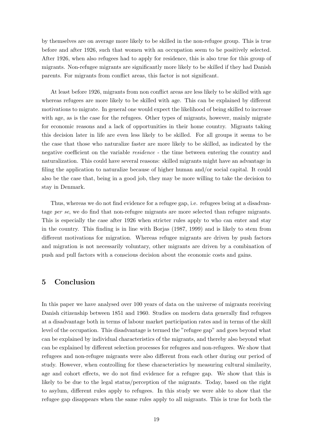by themselves are on average more likely to be skilled in the non-refugee group. This is true before and after 1926, such that women with an occupation seem to be positively selected. After 1926, when also refugees had to apply for residence, this is also true for this group of migrants. Non-refugee migrants are significantly more likely to be skilled if they had Danish parents. For migrants from conflict areas, this factor is not significant.

At least before 1926, migrants from non conflict areas are less likely to be skilled with age whereas refugees are more likely to be skilled with age. This can be explained by different motivations to migrate. In general one would expect the likelihood of being skilled to increase with age, as is the case for the refugees. Other types of migrants, however, mainly migrate for economic reasons and a lack of opportunities in their home country. Migrants taking this decision later in life are even less likely to be skilled. For all groups it seems to be the case that those who naturalize faster are more likely to be skilled, as indicated by the negative coefficient on the variable residence - the time between entering the country and naturalization. This could have several reasons: skilled migrants might have an advantage in filing the application to naturalize because of higher human and/or social capital. It could also be the case that, being in a good job, they may be more willing to take the decision to stay in Denmark.

Thus, whereas we do not find evidence for a refugee gap, i.e. refugees being at a disadvantage per se, we do find that non-refugee migrants are more selected than refugee migrants. This is especially the case after 1926 when stricter rules apply to who can enter and stay in the country. This finding is in line with Borjas (1987, 1999) and is likely to stem from different motivations for migration. Whereas refugee migrants are driven by push factors and migration is not necessarily voluntary, other migrants are driven by a combination of push and pull factors with a conscious decision about the economic costs and gains.

### 5 Conclusion

In this paper we have analysed over 100 years of data on the universe of migrants receiving Danish citizenship between 1851 and 1960. Studies on modern data generally find refugees at a disadvantage both in terms of labour market participation rates and in terms of the skill level of the occupation. This disadvantage is termed the "refugee gap" and goes beyond what can be explained by individual characteristics of the migrants, and thereby also beyond what can be explained by different selection processes for refugees and non-refugees. We show that refugees and non-refugee migrants were also different from each other during our period of study. However, when controlling for these characteristics by measuring cultural similarity, age and cohort effects, we do not find evidence for a refugee gap. We show that this is likely to be due to the legal status/perception of the migrants. Today, based on the right to asylum, different rules apply to refugees. In this study we were able to show that the refugee gap disappears when the same rules apply to all migrants. This is true for both the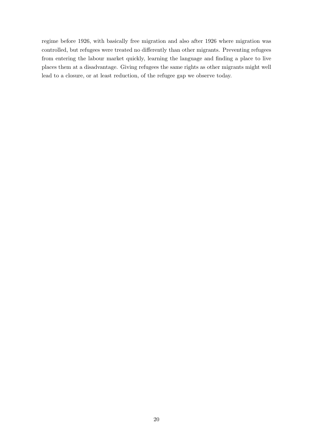regime before 1926, with basically free migration and also after 1926 where migration was controlled, but refugees were treated no differently than other migrants. Preventing refugees from entering the labour market quickly, learning the language and finding a place to live places them at a disadvantage. Giving refugees the same rights as other migrants might well lead to a closure, or at least reduction, of the refugee gap we observe today.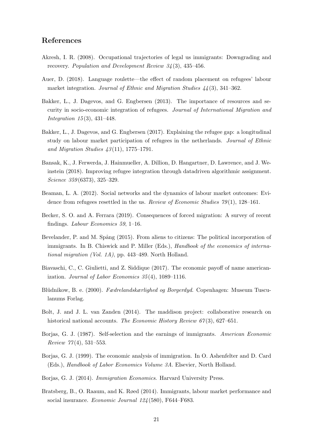## References

- Akresh, I. R. (2008). Occupational trajectories of legal us immigrants: Downgrading and recovery. Population and Development Review 34 (3), 435–456.
- Auer, D. (2018). Language roulette—the effect of random placement on refugees' labour market integration. Journal of Ethnic and Migration Studies  $44(3)$ , 341–362.
- Bakker, L., J. Dagevos, and G. Engbersen (2013). The importance of resources and security in socio-economic integration of refugees. Journal of International Migration and Integration 15 (3), 431–448.
- Bakker, L., J. Dagevos, and G. Engbersen (2017). Explaining the refugee gap: a longitudinal study on labour market participation of refugees in the netherlands. Journal of Ethnic and Migration Studies  $43(11)$ , 1775–1791.
- Bansak, K., J. Ferwerda, J. Hainmueller, A. Dillion, D. Hangartner, D. Lawrence, and J. Weinstein (2018). Improving refugee integration through datadriven algorithmic assignment. Science 359 (6373), 325–329.
- Beaman, L. A. (2012). Social networks and the dynamics of labour market outcomes: Evidence from refugees resettled in the us. Review of Economic Studies  $79(1)$ , 128–161.
- Becker, S. O. and A. Ferrara (2019). Consequences of forced migration: A survey of recent findings. Labour Economics 59, 1–16.
- Bevelander, P. and M. Spång (2015). From aliens to citizens: The political incorporation of immigrants. In B. Chiswick and P. Miller (Eds.), Handbook of the economics of international migration (Vol. 1A), pp. 443–489. North Holland.
- Biavaschi, C., C. Giulietti, and Z. Siddique (2017). The economic payoff of name americanization. Journal of Labor Economics  $35(4)$ , 1089-1116.
- Blüdnikow, B. e. (2000). Fædrelandskærlighed og Borgerdyd. Copenhagen: Museum Tusculanums Forlag.
- Bolt, J. and J. L. van Zanden (2014). The maddison project: collaborative research on historical national accounts. The Economic History Review 67(3), 627–651.
- Borjas, G. J. (1987). Self-selection and the earnings of immigrants. American Economic  $Review 77(4), 531-553.$
- Borjas, G. J. (1999). The economic analysis of immigration. In O. Ashenfelter and D. Card (Eds.), Handbook of Labor Economics Volume 3A. Elsevier, North Holland.
- Borjas, G. J. (2014). Immigration Economics. Harvard University Press.
- Bratsberg, B., O. Raaum, and K. Røed (2014). Immigrants, labour market performance and social insurance. Economic Journal 124 (580), F644–F683.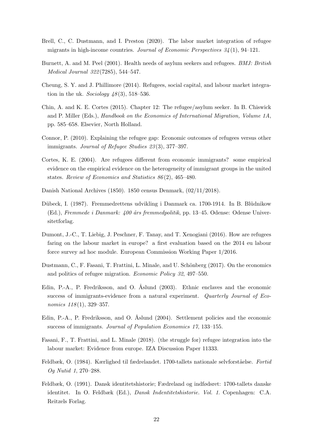- Brell, C., C. Dustmann, and I. Preston (2020). The labor market integration of refugee migrants in high-income countries. Journal of Economic Perspectives  $34(1)$ , 94–121.
- Burnett, A. and M. Peel (2001). Health needs of asylum seekers and refugees. *BMJ: British* Medical Journal 322 (7285), 544–547.
- Cheung, S. Y. and J. Phillimore (2014). Refugees, social capital, and labour market integration in the uk. Sociology  $48(3)$ , 518–536.
- Chin, A. and K. E. Cortes (2015). Chapter 12: The refugee/asylum seeker. In B. Chiswick and P. Miller (Eds.), Handbook on the Economics of International Migration, Volume 1A, pp. 585–658. Elsevier, North Holland.
- Connor, P. (2010). Explaining the refugee gap: Economic outcomes of refugees versus other immigrants. Journal of Refugee Studies 23(3), 377-397.
- Cortes, K. E. (2004). Are refugees different from economic immigrants? some empirical evidence on the empirical evidence on the heterogeneity of immigrant groups in the united states. Review of Economics and Statistics 86 (2), 465–480.
- Danish National Archives (1850). 1850 census Denmark, (02/11/2018).
- Dübeck, I. (1987). Fremmedrettens udvikling i Danmark ca. 1700-1914. In B. Blüdnikow (Ed.), Fremmede i Danmark: 400 års fremmedpolitik, pp. 13–45. Odense: Odense Universitetforlag.
- Dumont, J.-C., T. Liebig, J. Peschner, F. Tanay, and T. Xenogiani (2016). How are refugees faring on the labour market in europe? a first evaluation based on the 2014 eu labour force survey ad hoc module. European Commission Working Paper 1/2016.
- Dustmann, C., F. Fasani, T. Frattini, L. Minale, and U. Schönberg (2017). On the economics and politics of refugee migration. Economic Policy 32, 497–550.
- Edin, P.-A., P. Fredriksson, and O. Åslund (2003). Ethnic enclaves and the economic success of immigrants-evidence from a natural experiment. Quarterly Journal of Economics  $118(1)$ , 329-357.
- Edin, P.-A., P. Fredriksson, and O. Åslund (2004). Settlement policies and the economic success of immigrants. Journal of Population Economics 17, 133–155.
- Fasani, F., T. Frattini, and L. Minale (2018). (the struggle for) refugee integration into the labour market: Evidence from europe. IZA Discussion Paper 11333.
- Feldbæk, O. (1984). Kærlighed til fædrelandet. 1700-tallets nationale selvforståelse. Fortid Og Nutid 1, 270–288.
- Feldbæk, O. (1991). Dansk identitetshistorie; Fædreland og indfødsret: 1700-tallets danske identitet. In O. Feldbæk (Ed.), Dansk Indentitetshistorie. Vol. 1. Copenhagen: C.A. Reitzels Forlag.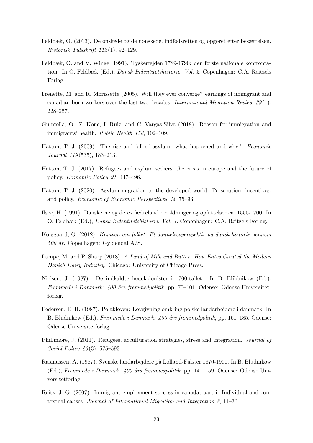- Feldbæk, O. (2013). De ønskede og de uønskede. indfødsretten og opgøret efter besættelsen. Historisk Tidsskrift 112 (1), 92–129.
- Feldbæk, O. and V. Winge (1991). Tyskerfejden 1789-1790: den første nationale konfrontation. In O. Feldbæk (Ed.), Dansk Indentitetshistorie. Vol. 2. Copenhagen: C.A. Reitzels Forlag.
- Frenette, M. and R. Morissette (2005). Will they ever converge? earnings of immigrant and canadian-born workers over the last two decades. International Migration Review  $39(1)$ , 228–257.
- Giuntella, O., Z. Kone, I. Ruiz, and C. Vargas-Silva (2018). Reason for immigration and immigrants' health. Public Health 158, 102–109.
- Hatton, T. J. (2009). The rise and fall of asylum: what happened and why? Economic Journal 119 (535), 183–213.
- Hatton, T. J. (2017). Refugees and asylum seekers, the crisis in europe and the future of policy. Economic Policy 91, 447–496.
- Hatton, T. J. (2020). Asylum migration to the developed world: Persecution, incentives, and policy. Economic of Economic Perspectives 34, 75–93.
- Ilsøe, H. (1991). Danskerne og deres fædreland : holdninger og opfattelser ca. 1550-1700. In O. Feldbæk (Ed.), Dansk Indentitetshistorie. Vol. 1. Copenhagen: C.A. Reitzels Forlag.
- Korsgaard, O. (2012). Kampen om folket: Et dannelsesperspektiv på dansk historie gennem  $500$  år. Copenhagen: Gyldendal A/S.
- Lampe, M. and P. Sharp (2018). A Land of Milk and Butter: How Elites Created the Modern Danish Dairy Industry. Chicago: University of Chicago Press.
- Nielsen, J. (1987). De indkaldte hedekolonister i 1700-tallet. In B. Blüdnikow (Ed.), Fremmede i Danmark:  $400$  års fremmedpolitik, pp. 75–101. Odense: Odense Universitetforlag.
- Pedersen, E. H. (1987). Polakloven: Lovgivning omkring polske landarbejdere i danmark. In B. Blüdnikow (Ed.), Fremmede i Danmark: 400 års fremmedpolitik, pp. 161–185. Odense: Odense Universitetforlag.
- Phillimore, J. (2011). Refugees, acculturation strategies, stress and integration. Journal of Social Policy  $\angle 40(3)$ , 575–593.
- Rasmussen, A. (1987). Svenske landarbejdere på Lolland-Falster 1870-1900. In B. Blüdnikow (Ed.), Fremmede i Danmark: 400 års fremmedpolitik, pp. 141–159. Odense: Odense Universitetforlag.
- Reitz, J. G. (2007). Immigrant employment success in canada, part i: Individual and contextual causes. Journal of International Migration and Integration 8, 11–36.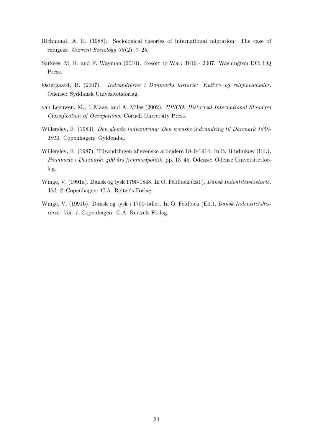- Richmond, A. H. (1988). Sociological theories of international migration: The case of refugees. Current Sociology 36 (2), 7–25.
- Sarkees, M. R. and F. Wayman (2010). Resort to War: 1816 2007. Washington DC: CQ Press.
- Østergaard, B. (2007). Indvandrerne i Danmarks historie: Kultur- og religionsmøder. Odense: Syddansk Univesitetsforlag.
- van Leeuwen, M., I. Maas, and A. Miles (2002). HISCO: Historical International Standard Classification of Occupations. Cornell University Press.
- Willerslev, R. (1983). Den glemte indvandring: Den svenske indvandring til Danmark 1850- 1914. Copenhagen: Gyldendal.
- Willerslev, R. (1987). Tilvandringen af svenske arbejdere 1840-1914. In B. Blüdnikow (Ed.), Fremmede i Danmark: 400 års fremmedpolitik, pp. 13–45. Odense: Odense Universitetforlag.
- Winge, V. (1991a). Dansk og tysk 1790-1848. In O. Feldbæk (Ed.), Dansk Indentitetshistorie. Vol. 2. Copenhagen: C.A. Reitzels Forlag.
- Winge, V. (1991b). Dansk og tysk i 1700-tallet. In O. Feldbæk (Ed.), Dansk Indentitetshistorie. Vol. 1. Copenhagen: C.A. Reitzels Forlag.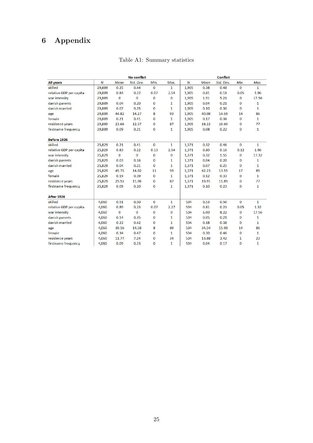## 6 Appendix

|                         |                  |             | <b>No conflict</b> |              |              |       |       | <b>Conflict</b> |             |              |
|-------------------------|------------------|-------------|--------------------|--------------|--------------|-------|-------|-----------------|-------------|--------------|
| <b>All years</b>        | $\boldsymbol{N}$ | <b>Mean</b> | Std. Dev.          | Min.         | Max.         | N     | Mean  | Std. Dev.       | Min.        | Max.         |
| skilled                 | 29,889           | 0.25        | 0.44               | $\bf{0}$     | $\mathbf{1}$ | 1,905 | 0.38  | 0.48            | $\bf{0}$    | $\mathbf{1}$ |
| relative GDP per capita | 29,889           | 0.84        | 0.22               | 0.07         | 2.54         | 1,905 | 0.81  | 0.18            | 0.05        | 1.96         |
| war intensity           | 29,889           | 0           | $\bf{0}$           | $\bf{0}$     | 0            | 1,905 | 1.91  | 5.21            | 0           | 17.56        |
| danish parents          | 29,889           | 0.04        | 0.20               | 0            | 1            | 1,905 | 0.04  | 0.21            | 0           | 1            |
| danish married          | 29,889           | 0.07        | 0.25               | 0            | 1            | 1,905 | 0.10  | 0.30            | $\bf{0}$    | $\mathbf{1}$ |
| age                     | 29,889           | 44.82       | 14.27              | 8            | 93           | 1,905 | 40.08 | 14.69           | 14          | 86           |
| female                  | 29,889           | 0.21        | 0.41               | 0            | 1            | 1,905 | 0.17  | 0.38            | $\bf{0}$    | $\mathbf{1}$ |
| residence years         | 29,889           | 23.66       | 12.37              | 0            | 87           | 1,905 | 18.22 | 10.60           | 0           | 77           |
| firstname frequency     | 29,889           | 0.09        | 0.21               | $\bf{0}$     | 1            | 1,905 | 0.08  | 0.22            | $\bf{0}$    | 1            |
| Before 1926             |                  |             |                    |              |              |       |       |                 |             |              |
| skilled                 | 25,829           | 0.21        | 0.41               | $\bf{0}$     | $\mathbf{1}$ | 1,371 | 0.32  | 0.46            | $\bf{0}$    | $\mathbf{1}$ |
| relative GDP per capita | 25,829           | 0.83        | 0.22               | 0.13         | 2.54         | 1,371 | 0.80  | 0.16            | 0.12        | 1.96         |
| war intensity           | 25,829           | $\bf{O}$    | $\bf{0}$           | $\bf{0}$     | 0            | 1,371 | 0.32  | 1.55            | $\bf{0}$    | 17.32        |
| danish parents          | 25,829           | 0.03        | 0.16               | 0            | 1            | 1,371 | 0.04  | 0.20            | 0           | 1            |
| danish married          | 25,829           | 0.04        | 0.21               | $\bf{0}$     | 1            | 1,371 | 0.07  | 0.25            | $\bf{0}$    | 1            |
| age                     | 25,829           | 45.71       | 14.02              | 11           | 93           | 1,371 | 42.23 | 13.55           | 17          | 85           |
| female                  | 25,829           | 0.19        | 0.39               | 0            | 1            | 1,371 | 0.12  | 0.33            | $\mathbf 0$ | $\mathbf{1}$ |
| residence years         | 25,829           | 25.53       | 11.96              | 0            | 87           | 1,371 | 19.91 | 11.89           | 0           | 77           |
| firstname frequency     | 25,829           | 0.09        | 0.20               | $\bf{0}$     | 1            | 1,371 | 0.10  | 0.23            | $\bf{0}$    | 1            |
| <b>After 1926</b>       |                  |             |                    |              |              |       |       |                 |             |              |
| skilled                 | 4,060            | 0.51        | 0.50               | $\mathbf{O}$ | $\mathbf{1}$ | 534   | 0.53  | 0.50            | $\bf{0}$    | $\mathbf{1}$ |
| relative GDP per capita | 4,060            | 0.89        | 0.23               | 0.07         | 2.27         | 534   | 0.81  | 0.23            | 0.05        | 1.32         |
| war intensity           | 4,060            | $\bf{0}$    | 0                  | 0            | 0            | 534   | 6.00  | 8.22            | 0           | 17.56        |
| danish parents          | 4,060            | 0.14        | 0.35               | 0            | 1            | 534   | 0.05  | 0.21            | $\bf{0}$    | 1            |
| danish married          | 4,060            | 0.22        | 0.42               | $\bf{0}$     | 1            | 534   | 0.18  | 0.38            | $\bf{0}$    | 1            |
| age                     | 4,060            | 39.16       | 14.58              | 8            | 89           | 534   | 34.54 | 15.99           | 14          | 86           |
| female                  | 4,060            | 0.34        | 0.47               | 0            | 1            | 534   | 0.30  | 0.46            | $\bf{0}$    | 1            |
| residence years         | 4,060            | 11.77       | 7.24               | 0            | 34           | 534   | 13.88 | 3.42            | 1           | 23           |
| firstname frequency     | 4,060            | 0.09        | 0.23               | 0            | 1            | 534   | 0.04  | 0.17            | 0           | $\mathbf{1}$ |

## Table A1: Summary statistics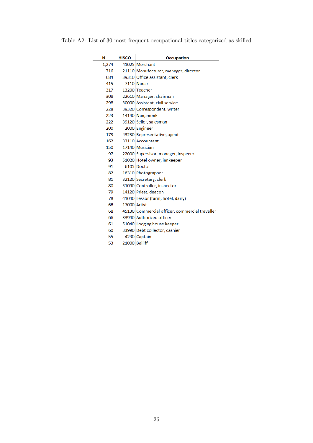Table A2: List of 30 most frequent occupational titles categorized as skilled

| Ν     | <b>HISCO</b>  | Occupation                                     |
|-------|---------------|------------------------------------------------|
| 1,274 |               | 41025 Merchant                                 |
| 716   |               | 21110 Manufacturer, manager, director          |
| 684   |               | 39310 Office assistant, clerk                  |
| 415   |               | <b>7110 Nurse</b>                              |
| 317   |               | 13200 Teacher                                  |
| 308   |               | 22610 Manager, chairman                        |
| 298   |               | 30000 Assistant, civil service                 |
| 228   |               | 39320 Correspondent, writer                    |
| 223   |               | 14140 Nun, monk                                |
| 222   |               | 39120 Seller, salesman                         |
| 200   |               | 2000 Engineer                                  |
| 173   |               | 43230 Representative, agent                    |
| 162   |               | 33110 Accountant                               |
| 150   |               | 17140 Musician                                 |
| 97    |               | 22000 Supervisor, manager, inspector           |
| 93    |               | 51020 Hotel owner, innkeeper                   |
| 91    |               | 6105 Doctor                                    |
| 82    |               | 16310 Photographer                             |
| 81    |               | 32120 Secretary, clerk                         |
| 80    |               | 31090 Controller, inspector                    |
| 79    |               | 14120 Priest, deacon                           |
| 78    |               | 41040 Lessor (farm, hotel, dairy)              |
| 68    | 17000 Artist  |                                                |
| 68    |               | 45130 Commercial officer, commercial traveller |
| 66    |               | 33940 Authorized officer                       |
| 61    |               | 51040 Lodging house keeper                     |
| 60    |               | 33990 Debt collector, cashier                  |
| 55    |               | 4230 Captain                                   |
| 53    | 21000 Bailiff |                                                |